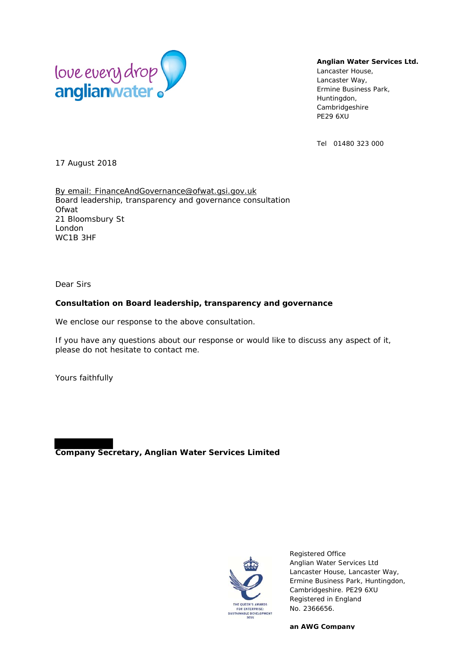

#### **Anglian Water Services Ltd.**

Lancaster House, Lancaster Way, Ermine Business Park, Huntingdon, Cambridgeshire PE29 6XU

Tel 01480 323 000

17 August 2018

By email: FinanceAndGovernance@ofwat.gsi.gov.uk Board leadership, transparency and governance consultation Ofwat 21 Bloomsbury St London WC1B 3HF

Dear Sirs

#### **Consultation on Board leadership, transparency and governance**

We enclose our response to the above consultation.

If you have any questions about our response or would like to discuss any aspect of it, please do not hesitate to contact me.

Yours faithfully

**Company Secretary, Anglian Water Services Limited** 



Registered Office Anglian Water Services Ltd Lancaster House, Lancaster Way, Ermine Business Park, Huntingdon, Cambridgeshire. PE29 6XU Registered in England No. 2366656.

**an AWG Company**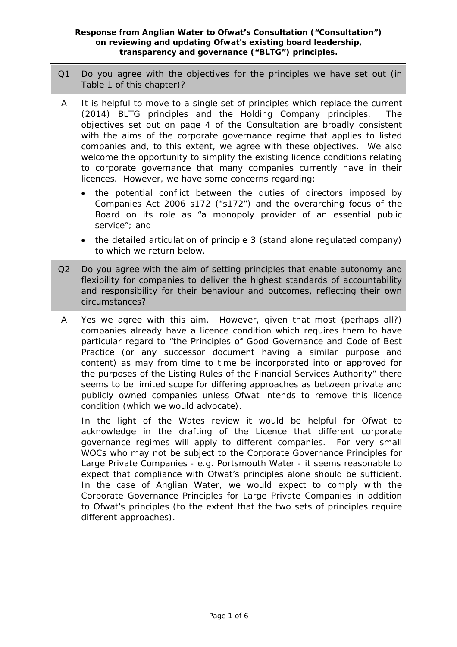- Q1 Do you agree with the objectives for the principles we have set out (in Table 1 of this chapter)?
- A It is helpful to move to a single set of principles which replace the current (2014) BLTG principles and the Holding Company principles. The objectives set out on page 4 of the Consultation are broadly consistent with the aims of the corporate governance regime that applies to listed companies and, to this extent, we agree with these objectives. We also welcome the opportunity to simplify the existing licence conditions relating to corporate governance that many companies currently have in their licences. However, we have some concerns regarding:
	- the potential conflict between the duties of directors imposed by Companies Act 2006 s172 ("s172") and the overarching focus of the Board on its role as "a monopoly provider of an essential public service"; and
	- the detailed articulation of principle 3 (stand alone regulated company) to which we return below.
- Q2 Do you agree with the aim of setting principles that enable autonomy and flexibility for companies to deliver the highest standards of accountability and responsibility for their behaviour and outcomes, reflecting their own circumstances?
- A Yes we agree with this aim. However, given that most (perhaps all?) companies already have a licence condition which requires them to have particular regard to "the Principles of Good Governance and Code of Best Practice (or any successor document having a similar purpose and content) as may from time to time be incorporated into or approved for the purposes of the Listing Rules of the Financial Services Authority" there seems to be limited scope for differing approaches as between private and publicly owned companies unless Ofwat intends to remove this licence condition (which we would advocate).

In the light of the Wates review it would be helpful for Ofwat to acknowledge in the drafting of the Licence that different corporate governance regimes will apply to different companies. For very small WOCs who may not be subject to the Corporate Governance Principles for Large Private Companies - e.g. Portsmouth Water - it seems reasonable to expect that compliance with Ofwat's principles alone should be sufficient. In the case of Anglian Water, we would expect to comply with the Corporate Governance Principles for Large Private Companies in addition to Ofwat's principles (to the extent that the two sets of principles require different approaches).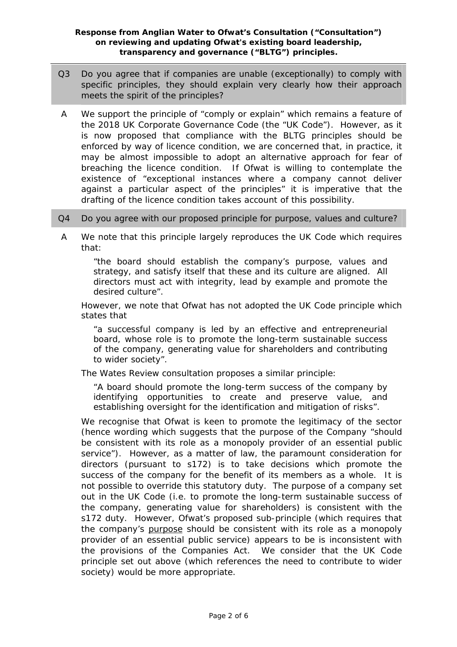- Q3 Do you agree that if companies are unable (exceptionally) to comply with specific principles, they should explain very clearly how their approach meets the spirit of the principles?
- A We support the principle of "comply or explain" which remains a feature of the 2018 UK Corporate Governance Code (the "UK Code"). However, as it is now proposed that compliance with the BLTG principles should be enforced by way of licence condition, we are concerned that, in practice, it may be almost impossible to adopt an alternative approach for fear of breaching the licence condition. If Ofwat is willing to contemplate the existence of "exceptional instances where a company cannot deliver against a particular aspect of the principles" it is imperative that the drafting of the licence condition takes account of this possibility.
- Q4 Do you agree with our proposed principle for purpose, values and culture?
- A We note that this principle largely reproduces the UK Code which requires that:

*"the board should establish the company's purpose, values and strategy, and satisfy itself that these and its culture are aligned. All directors must act with integrity, lead by example and promote the desired culture".* 

However, we note that Ofwat has not adopted the UK Code principle which states that

*"a successful company is led by an effective and entrepreneurial board, whose role is to promote the long-term sustainable success of the company, generating value for shareholders and contributing to wider society".* 

The Wates Review consultation proposes a similar principle:

*"A board should promote the long-term success of the company by identifying opportunities to create and preserve value, and establishing oversight for the identification and mitigation of risks".* 

We recognise that Ofwat is keen to promote the legitimacy of the sector (hence wording which suggests that the purpose of the Company "should be consistent with its role as a monopoly provider of an essential public service"). However, as a matter of law, the paramount consideration for directors (pursuant to s172) is to take decisions which promote the success of the company for the benefit of its members as a whole. It is not possible to override this statutory duty. The purpose of a company set out in the UK Code (i.e. to promote the long-term sustainable success of the company, generating value for shareholders) is consistent with the s172 duty. However, Ofwat's proposed sub-principle (which requires that the company's purpose should be consistent with its role as a monopoly provider of an essential public service) appears to be is inconsistent with the provisions of the Companies Act. We consider that the UK Code principle set out above (which references the need to contribute to wider society) would be more appropriate.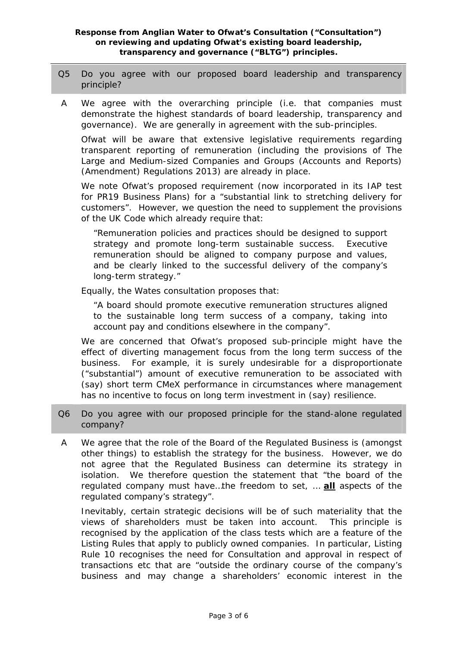- Q5 Do you agree with our proposed board leadership and transparency principle?
- A We agree with the overarching principle (i.e. that companies must demonstrate the highest standards of board leadership, transparency and governance). We are generally in agreement with the sub-principles.

Ofwat will be aware that extensive legislative requirements regarding transparent reporting of remuneration (including the provisions of The Large and Medium-sized Companies and Groups (Accounts and Reports) (Amendment) Regulations 2013) are already in place.

We note Ofwat's proposed requirement (now incorporated in its IAP test for PR19 Business Plans) for a "substantial link to stretching delivery for customers". However, we question the need to supplement the provisions of the UK Code which already require that:

*"Remuneration policies and practices should be designed to support strategy and promote long-term sustainable success. Executive remuneration should be aligned to company purpose and values, and be clearly linked to the successful delivery of the company's long-term strategy."* 

Equally, the Wates consultation proposes that:

*"A board should promote executive remuneration structures aligned to the sustainable long term success of a company, taking into account pay and conditions elsewhere in the company".* 

We are concerned that Ofwat's proposed sub-principle might have the effect of diverting management focus from the long term success of the business. For example, it is surely undesirable for a disproportionate ("substantial") amount of executive remuneration to be associated with (say) short term CMeX performance in circumstances where management has no incentive to focus on long term investment in (say) resilience.

- Q6 Do you agree with our proposed principle for the stand-alone regulated company?
- A We agree that the role of the Board of the Regulated Business is (amongst other things) to establish the strategy for the business. However, we do not agree that the Regulated Business can determine its strategy in isolation. We therefore question the statement that "the board of the regulated company must have…the freedom to set, … **all** aspects of the regulated company's strategy".

Inevitably, certain strategic decisions will be of such materiality that the views of shareholders must be taken into account. This principle is recognised by the application of the class tests which are a feature of the Listing Rules that apply to publicly owned companies. In particular, Listing Rule 10 recognises the need for Consultation and approval in respect of transactions etc that are "outside the ordinary course of the company's business and may change a shareholders' economic interest in the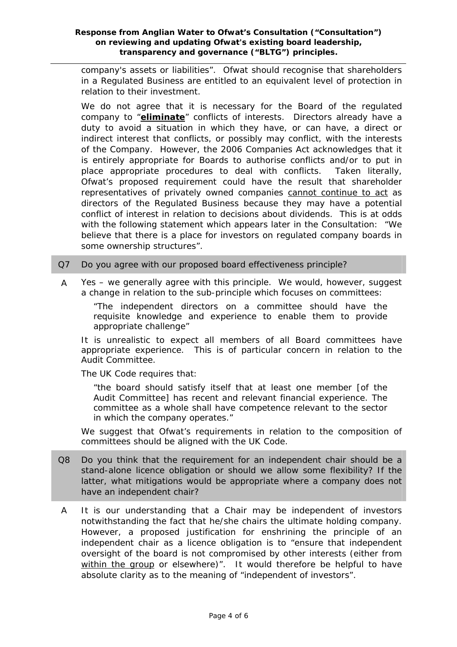company's assets or liabilities". Ofwat should recognise that shareholders in a Regulated Business are entitled to an equivalent level of protection in relation to their investment.

We do not agree that it is necessary for the Board of the regulated company to "**eliminate**" conflicts of interests. Directors already have a duty to avoid a situation in which they have, or can have, a direct or indirect interest that conflicts, or possibly may conflict, with the interests of the Company. However, the 2006 Companies Act acknowledges that it is entirely appropriate for Boards to authorise conflicts and/or to put in place appropriate procedures to deal with conflicts. Taken literally, Ofwat's proposed requirement could have the result that shareholder representatives of privately owned companies cannot continue to act as directors of the Regulated Business because they may have a potential conflict of interest in relation to decisions about dividends. This is at odds with the following statement which appears later in the Consultation: *"We believe that there is a place for investors on regulated company boards in some ownership structures".* 

- Q7 Do you agree with our proposed board effectiveness principle?
- A Yes we generally agree with this principle. We would, however, suggest a change in relation to the sub-principle which focuses on committees:

*"The independent directors on a committee should have the requisite knowledge and experience to enable them to provide appropriate challenge"* 

It is unrealistic to expect all members of all Board committees have appropriate experience. This is of particular concern in relation to the Audit Committee.

The UK Code requires that:

*"the board should satisfy itself that at least one member [of the Audit Committee] has recent and relevant financial experience. The committee as a whole shall have competence relevant to the sector in which the company operates."* 

We suggest that Ofwat's requirements in relation to the composition of committees should be aligned with the UK Code.

- Q8 Do you think that the requirement for an independent chair should be a stand-alone licence obligation or should we allow some flexibility? If the latter, what mitigations would be appropriate where a company does not have an independent chair?
- A It is our understanding that a Chair may be independent of investors notwithstanding the fact that he/she chairs the ultimate holding company. However, a proposed justification for enshrining the principle of an independent chair as a licence obligation is to *"ensure that independent oversight of the board is not compromised by other interests (either from within the group or elsewhere)".* It would therefore be helpful to have absolute clarity as to the meaning of "independent of investors".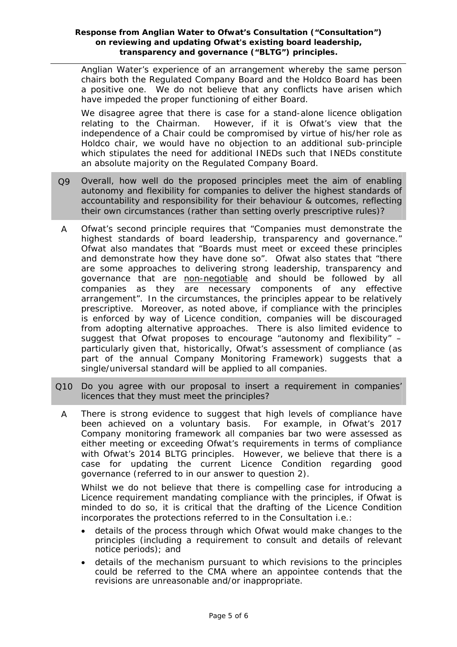Anglian Water's experience of an arrangement whereby the same person chairs both the Regulated Company Board and the Holdco Board has been a positive one. We do not believe that any conflicts have arisen which have impeded the proper functioning of either Board.

We disagree agree that there is case for a stand-alone licence obligation relating to the Chairman. However, if it is Ofwat's view that the independence of a Chair could be compromised by virtue of his/her role as Holdco chair, we would have no objection to an additional sub-principle which stipulates the need for additional INEDs such that INEDs constitute an absolute majority on the Regulated Company Board.

- Q9 Overall, how well do the proposed principles meet the aim of enabling autonomy and flexibility for companies to deliver the highest standards of accountability and responsibility for their behaviour & outcomes, reflecting their own circumstances (rather than setting overly prescriptive rules)?
- A Ofwat's second principle requires that *"Companies must demonstrate the highest standards of board leadership, transparency and governance."* Ofwat also mandates that *"Boards must meet or exceed these principles and demonstrate how they have done so"*. Ofwat also states that *"there are some approaches to delivering strong leadership, transparency and governance that are non-negotiable and should be followed by all companies as they are necessary components of any effective arrangement".* In the circumstances, the principles appear to be relatively prescriptive. Moreover, as noted above, if compliance with the principles is enforced by way of Licence condition, companies will be discouraged from adopting alternative approaches. There is also limited evidence to suggest that Ofwat proposes to encourage "autonomy and flexibility" – particularly given that, historically, Ofwat's assessment of compliance (as part of the annual Company Monitoring Framework) suggests that a single/universal standard will be applied to all companies.
- Q10 Do you agree with our proposal to insert a requirement in companies' licences that they must meet the principles?
	- A There is strong evidence to suggest that high levels of compliance have been achieved on a voluntary basis. For example, in Ofwat's 2017 Company monitoring framework all companies bar two were assessed as either meeting or exceeding Ofwat's requirements in terms of compliance with Ofwat's 2014 BLTG principles. However, we believe that there is a case for updating the current Licence Condition regarding good governance (referred to in our answer to question 2).

Whilst we do not believe that there is compelling case for introducing a Licence requirement mandating compliance with the principles, if Ofwat is minded to do so, it is critical that the drafting of the Licence Condition incorporates the protections referred to in the Consultation i.e.:

- details of the process through which Ofwat would make changes to the principles (including a requirement to consult and details of relevant notice periods); and
- details of the mechanism pursuant to which revisions to the principles could be referred to the CMA where an appointee contends that the revisions are unreasonable and/or inappropriate.